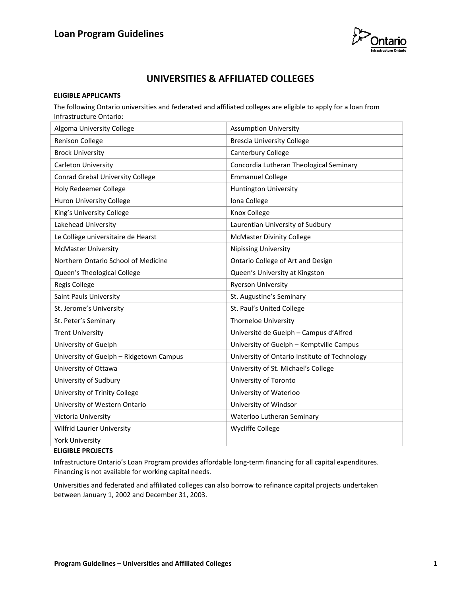

# **UNIVERSITIES & AFFILIATED COLLEGES**

#### **ELIGIBLE APPLICANTS**

The following Ontario universities and federated and affiliated colleges are eligible to apply for a loan from Infrastructure Ontario:

| <b>Assumption University</b>                  |
|-----------------------------------------------|
| <b>Brescia University College</b>             |
| Canterbury College                            |
| Concordia Lutheran Theological Seminary       |
| <b>Emmanuel College</b>                       |
| Huntington University                         |
| Iona College                                  |
| Knox College                                  |
| Laurentian University of Sudbury              |
| <b>McMaster Divinity College</b>              |
| <b>Nipissing University</b>                   |
| Ontario College of Art and Design             |
| Queen's University at Kingston                |
| <b>Ryerson University</b>                     |
| St. Augustine's Seminary                      |
| St. Paul's United College                     |
| <b>Thorneloe University</b>                   |
| Université de Guelph - Campus d'Alfred        |
| University of Guelph - Kemptville Campus      |
| University of Ontario Institute of Technology |
| University of St. Michael's College           |
| University of Toronto                         |
| University of Waterloo                        |
| University of Windsor                         |
| Waterloo Lutheran Seminary                    |
| <b>Wycliffe College</b>                       |
|                                               |
|                                               |

#### **ELIGIBLE PROJECTS**

Infrastructure Ontario's Loan Program provides affordable long-term financing for all capital expenditures. Financing is not available for working capital needs.

Universities and federated and affiliated colleges can also borrow to refinance capital projects undertaken between January 1, 2002 and December 31, 2003.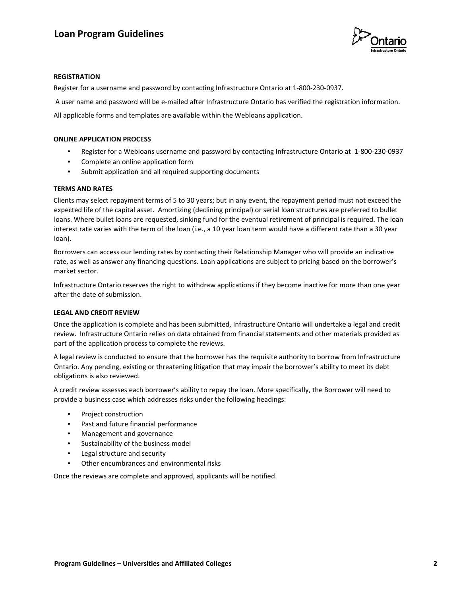

### **REGISTRATION**

Register for a username and password by contacting Infrastructure Ontario at 1-800-230-0937.

A user name and password will be e-mailed after Infrastructure Ontario has verified the registration information.

All applicable forms and templates are available within the Webloans application.

#### **ONLINE APPLICATION PROCESS**

- Register for a Webloans username and password by contacting Infrastructure Ontario at 1-800-230-0937
- Complete an online application form
- Submit application and all required supporting documents

#### **TERMS AND RATES**

Clients may select repayment terms of 5 to 30 years; but in any event, the repayment period must not exceed the expected life of the capital asset. Amortizing (declining principal) or serial loan structures are preferred to bullet loans. Where bullet loans are requested, sinking fund for the eventual retirement of principal is required. The loan interest rate varies with the term of the loan (i.e., a 10 year loan term would have a different rate than a 30 year loan).

Borrowers can access our lending rates by contacting their Relationship Manager who will provide an indicative rate, as well as answer any financing questions. Loan applications are subject to pricing based on the borrower's market sector.

Infrastructure Ontario reserves the right to withdraw applications if they become inactive for more than one year after the date of submission.

#### **LEGAL AND CREDIT REVIEW**

Once the application is complete and has been submitted, Infrastructure Ontario will undertake a legal and credit review. Infrastructure Ontario relies on data obtained from financial statements and other materials provided as part of the application process to complete the reviews.

A legal review is conducted to ensure that the borrower has the requisite authority to borrow from Infrastructure Ontario. Any pending, existing or threatening litigation that may impair the borrower's ability to meet its debt obligations is also reviewed.

A credit review assesses each borrower's ability to repay the loan. More specifically, the Borrower will need to provide a business case which addresses risks under the following headings:

- Project construction
- Past and future financial performance
- Management and governance
- Sustainability of the business model
- Legal structure and security
- Other encumbrances and environmental risks

Once the reviews are complete and approved, applicants will be notified.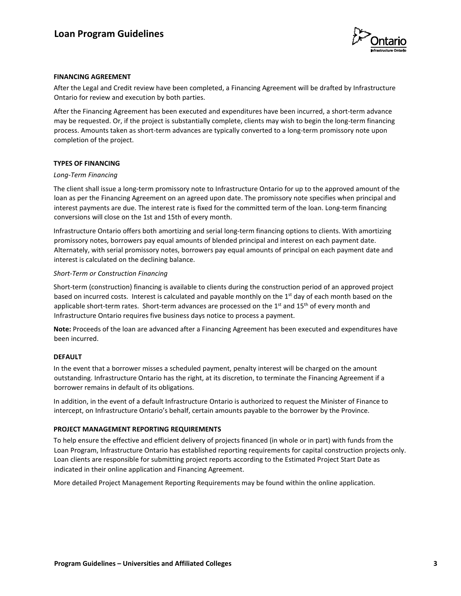

## **FINANCING AGREEMENT**

After the Legal and Credit review have been completed, a Financing Agreement will be drafted by Infrastructure Ontario for review and execution by both parties.

After the Financing Agreement has been executed and expenditures have been incurred, a short-term advance may be requested. Or, if the project is substantially complete, clients may wish to begin the long-term financing process. Amounts taken as short-term advances are typically converted to a long-term promissory note upon completion of the project.

## **TYPES OF FINANCING**

## *Long-Term Financing*

The client shall issue a long-term promissory note to Infrastructure Ontario for up to the approved amount of the loan as per the Financing Agreement on an agreed upon date. The promissory note specifies when principal and interest payments are due. The interest rate is fixed for the committed term of the loan. Long-term financing conversions will close on the 1st and 15th of every month.

Infrastructure Ontario offers both amortizing and serial long-term financing options to clients. With amortizing promissory notes, borrowers pay equal amounts of blended principal and interest on each payment date. Alternately, with serial promissory notes, borrowers pay equal amounts of principal on each payment date and interest is calculated on the declining balance.

#### *Short-Term or Construction Financing*

Short-term (construction) financing is available to clients during the construction period of an approved project based on incurred costs. Interest is calculated and payable monthly on the 1<sup>st</sup> day of each month based on the applicable short-term rates. Short-term advances are processed on the 1<sup>st</sup> and 15<sup>th</sup> of every month and Infrastructure Ontario requires five business days notice to process a payment.

**Note:** Proceeds of the loan are advanced after a Financing Agreement has been executed and expenditures have been incurred.

## **DEFAULT**

In the event that a borrower misses a scheduled payment, penalty interest will be charged on the amount outstanding. Infrastructure Ontario has the right, at its discretion, to terminate the Financing Agreement if a borrower remains in default of its obligations.

In addition, in the event of a default Infrastructure Ontario is authorized to request the Minister of Finance to intercept, on Infrastructure Ontario's behalf, certain amounts payable to the borrower by the Province.

## **PROJECT MANAGEMENT REPORTING REQUIREMENTS**

To help ensure the effective and efficient delivery of projects financed (in whole or in part) with funds from the Loan Program, Infrastructure Ontario has established reporting requirements for capital construction projects only. Loan clients are responsible for submitting project reports according to the Estimated Project Start Date as indicated in their online application and Financing Agreement.

More detailed Project Management Reporting Requirements may be found within the online application.